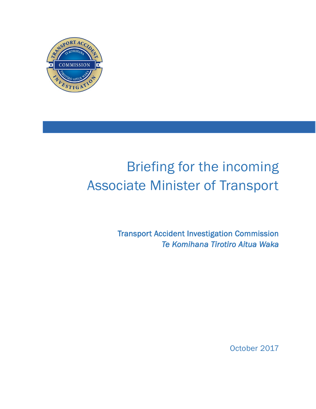

# Briefing for the incoming Associate Minister of Transport

Transport Accident Investigation Commission *Te Komihana Tirotiro Aitua Waka* 

October 2017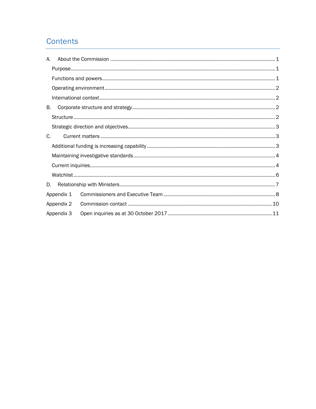### Contents

| А.         |            |  |  |  |
|------------|------------|--|--|--|
|            |            |  |  |  |
|            |            |  |  |  |
|            |            |  |  |  |
|            |            |  |  |  |
| В.         |            |  |  |  |
|            |            |  |  |  |
|            |            |  |  |  |
| C.         |            |  |  |  |
|            |            |  |  |  |
|            |            |  |  |  |
|            |            |  |  |  |
|            |            |  |  |  |
| D.         |            |  |  |  |
|            | Appendix 1 |  |  |  |
| Appendix 2 |            |  |  |  |
|            | Appendix 3 |  |  |  |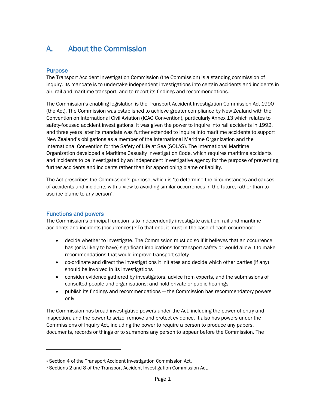### <span id="page-3-1"></span><span id="page-3-0"></span>A. About the Commission

#### **Purpose**

The Transport Accident Investigation Commission (the Commission) is a standing commission of inquiry. Its mandate is to undertake independent investigations into certain accidents and incidents in air, rail and maritime transport, and to report its findings and recommendations.

The Commission's enabling legislation is the Transport Accident Investigation Commission Act 1990 (the Act). The Commission was established to achieve greater compliance by New Zealand with the Convention on International Civil Aviation (ICAO Convention), particularly Annex 13 which relates to safety-focused accident investigations. It was given the power to inquire into rail accidents in 1992, and three years later its mandate was further extended to inquire into maritime accidents to support New Zealand's obligations as a member of the International Maritime Organization and the International Convention for the Safety of Life at Sea (SOLAS). The International Maritime Organization developed a Maritime Casualty Investigation Code, which requires maritime accidents and incidents to be investigated by an independent investigative agency for the purpose of preventing further accidents and incidents rather than for apportioning blame or liability.

The Act prescribes the Commission's purpose, which is 'to determine the circumstances and causes of accidents and incidents with a view to avoiding similar occurrences in the future, rather than to ascribe blame to any person'.<sup>1</sup>

#### <span id="page-3-2"></span>Functions and powers

 $\overline{a}$ 

The Commission's principal function is to independently investigate aviation, rail and maritime accidents and incidents (occurrences).<sup>2</sup> To that end, it must in the case of each occurrence:

- decide whether to investigate. The Commission must do so if it believes that an occurrence has (or is likely to have) significant implications for transport safety or would allow it to make recommendations that would improve transport safety
- co-ordinate and direct the investigations it initiates and decide which other parties (if any) should be involved in its investigations
- consider evidence gathered by investigators, advice from experts, and the submissions of consulted people and organisations; and hold private or public hearings
- publish its findings and recommendations the Commission has recommendatory powers only.

The Commission has broad investigative powers under the Act, including the power of entry and inspection, and the power to seize, remove and protect evidence. It also has powers under the Commissions of Inquiry Act, including the power to require a person to produce any papers, documents, records or things or to summons any person to appear before the Commission. The

<sup>&</sup>lt;sup>1</sup> Section 4 of the Transport Accident Investigation Commission Act.

<sup>2</sup> Sections 2 and 8 of the Transport Accident Investigation Commission Act.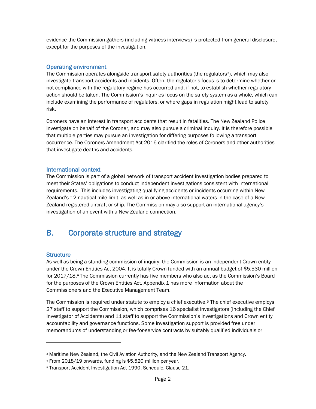evidence the Commission gathers (including witness interviews) is protected from general disclosure, except for the purposes of the investigation.

#### <span id="page-4-0"></span>Operating environment

The Commission operates alongside transport safety authorities (the regulators<sup>3</sup>), which may also investigate transport accidents and incidents. Often, the regulator's focus is to determine whether or not compliance with the regulatory regime has occurred and, if not, to establish whether regulatory action should be taken. The Commission's inquiries focus on the safety system as a whole, which can include examining the performance of regulators, or where gaps in regulation might lead to safety risk.

Coroners have an interest in transport accidents that result in fatalities. The New Zealand Police investigate on behalf of the Coroner, and may also pursue a criminal inquiry. It is therefore possible that multiple parties may pursue an investigation for differing purposes following a transport occurrence. The Coroners Amendment Act 2016 clarified the roles of Coroners and other authorities that investigate deaths and accidents.

#### <span id="page-4-1"></span>International context

The Commission is part of a global network of transport accident investigation bodies prepared to meet their States' obligations to conduct independent investigations consistent with international requirements. This includes investigating qualifying accidents or incidents occurring within New Zealand's 12 nautical mile limit, as well as in or above international waters in the case of a New Zealand registered aircraft or ship. The Commission may also support an international agency's investigation of an event with a New Zealand connection.

### <span id="page-4-3"></span><span id="page-4-2"></span>B. Corporate structure and strategy

#### **Structure**

 $\overline{a}$ 

As well as being a standing commission of inquiry, the Commission is an independent Crown entity under the Crown Entities Act 2004. It is totally Crown funded with an annual budget of \$5.530 million for 2017/18. <sup>4</sup> The Commission currently has five members who also act as the Commission's Board for the purposes of the Crown Entities Act. Appendix 1 has more information about the Commissioners and the Executive Management Team.

The Commission is required under statute to employ a chief executive.<sup>5</sup> The chief executive employs 27 staff to support the Commission, which comprises 16 specialist investigators (including the Chief Investigator of Accidents) and 11 staff to support the Commission's investigations and Crown entity accountability and governance functions. Some investigation support is provided free under memorandums of understanding or fee-for-service contracts by suitably qualified individuals or

<sup>3</sup> Maritime New Zealand, the Civil Aviation Authority, and the New Zealand Transport Agency.

<sup>4</sup> From 2018/19 onwards, funding is \$5.520 million per year.

<sup>5</sup> Transport Accident Investigation Act 1990, Schedule, Clause 21.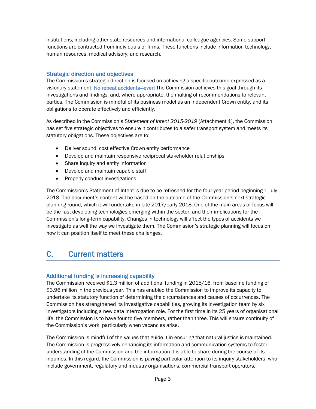institutions, including other state resources and international colleague agencies. Some support functions are contracted from individuals or firms. These functions include information technology, human resources, medical advisory, and research.

#### <span id="page-5-0"></span>Strategic direction and objectives

The Commission's strategic direction is focused on achieving a specific outcome expressed as a visionary statement: No repeat accidents—ever! The Commission achieves this goal through its investigations and findings, and, where appropriate, the making of recommendations to relevant parties. The Commission is mindful of its business model as an independent Crown entity, and its obligations to operate effectively and efficiently.

As described in the Commission's *Statement of Intent 2015-2019* (Attachment 1), the Commission has set five strategic objectives to ensure it contributes to a safer transport system and meets its statutory obligations. These objectives are to:

- Deliver sound, cost effective Crown entity performance
- Develop and maintain responsive reciprocal stakeholder relationships
- Share inquiry and entity information
- Develop and maintain capable staff
- Properly conduct investigations

The Commission's Statement of Intent is due to be refreshed for the four-year period beginning 1 July 2018. The document's content will be based on the outcome of the Commission's next strategic planning round, which it will undertake in late 2017/early 2018. One of the main areas of focus will be the fast-developing technologies emerging within the sector, and their implications for the Commission's long-term capability. Changes in technology will affect the types of accidents we investigate as well the way we investigate them. The Commission's strategic planning will focus on how it can position itself to meet these challenges.

### <span id="page-5-2"></span><span id="page-5-1"></span>C. Current matters

#### Additional funding is increasing capability

The Commission received \$1.3 million of additional funding in 2015/16, from baseline funding of \$3.96 million in the previous year. This has enabled the Commission to improve its capacity to undertake its statutory function of determining the circumstances and causes of occurrences. The Commission has strengthened its investigative capabilities, growing its investigation team by six investigators including a new data interrogation role. For the first time in its 25 years of organisational life, the Commission is to have four to five members, rather than three. This will ensure continuity of the Commission's work, particularly when vacancies arise.

The Commission is mindful of the values that guide it in ensuring that natural justice is maintained. The Commission is progressively enhancing its information and communication systems to foster understanding of the Commission and the information it is able to share during the course of its inquiries. In this regard, the Commission is paying particular attention to its inquiry stakeholders, who include government, regulatory and industry organisations, commercial transport operators,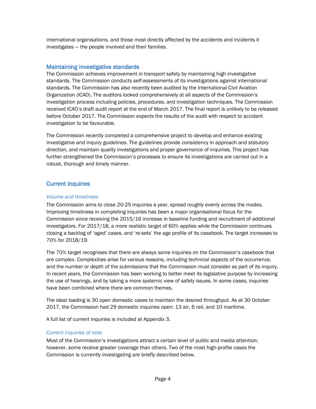international organisations, and those most directly affected by the accidents and incidents it investigates — the people involved and their families.

#### <span id="page-6-0"></span>Maintaining investigative standards

The Commission achieves improvement in transport safety by maintaining high investigative standards. The Commission conducts self-assessments of its investigations against international standards. The Commission has also recently been audited by the International Civil Aviation Organization (ICAO). The auditors looked comprehensively at all aspects of the Commission's investigation process including policies, procedures, and investigation techniques. The Commission received ICAO's draft audit report at the end of March 2017. The final report is unlikely to be released before October 2017. The Commission expects the results of the audit with respect to accident investigation to be favourable.

The Commission recently completed a comprehensive project to develop and enhance existing investigative and inquiry guidelines. The guidelines provide consistency in approach and statutory direction, and maintain quality investigations and proper governance of inquiries. This project has further strengthened the Commission's processes to ensure its investigations are carried out in a robust, thorough and timely manner.

#### <span id="page-6-1"></span>Current inquiries

#### *Volume and timeliness*

The Commission aims to close 20-25 inquiries a year, spread roughly evenly across the modes. Improving timeliness in completing inquiries has been a major organisational focus for the Commission since receiving the 2015/16 increase in baseline funding and recruitment of additional investigators. For 2017/18, a more realistic target of 60% applies while the Commission continues closing a backlog of 'aged' cases, and 're-sets' the age profile of its casebook. The target increases to 70% for 2018/19.

The 70% target recognises that there are always some inquiries on the Commission's casebook that are complex. Complexities arise for various reasons, including technical aspects of the occurrence, and the number or depth of the submissions that the Commission must consider as part of its inquiry. In recent years, the Commission has been working to better meet its legislative purpose by increasing the use of hearings, and by taking a more systemic view of safety issues. In some cases, inquiries have been combined where there are common themes.

The ideal loading is 30 open domestic cases to maintain the desired throughput. As at 30 October 2017, the Commission had 29 domestic inquiries open: 13 air, 6 rail, and 10 maritime.

A full list of current inquiries is included at Appendix 3.

#### *Current inquiries of note*

Most of the Commission's investigations attract a certain level of public and media attention; however, some receive greater coverage than others. Two of the most high-profile cases the Commission is currently investigating are briefly described below.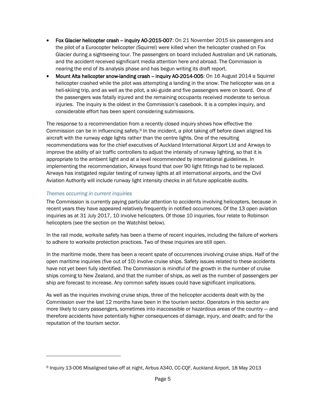- Fox Glacier helicopter crash inquiry AO-2015-007: On 21 November 2015 six passengers and the pilot of a Eurocopter helicopter (Squirrel) were killed when the helicopter crashed on Fox Glacier during a sightseeing tour. The passengers on board included Australian and UK nationals, and the accident received significant media attention here and abroad. The Commission is nearing the end of its analysis phase and has begun writing its draft report.
- Mount Alta helicopter snow-landing crash -- inquiry AO-2014-005: On 16 August 2014 a Squirrel helicopter crashed while the pilot was attempting a landing in the snow. The helicopter was on a heli-skiiing trip, and as well as the pilot, a ski-guide and five passengers were on board. One of the passengers was fatally injured and the remaining occupants received moderate to serious injuries. The inquiry is the oldest in the Commission's casebook. It is a complex inquiry, and considerable effort has been spent considering submissions.

The response to a recommendation from a recently closed inquiry shows how effective the Commission can be in influencing safety.<sup>6</sup> In the incident, a pilot taking off before dawn aligned his aircraft with the runway edge lights rather than the centre lights. One of the resulting recommendations was for the chief executives of Auckland International Airport Ltd and Airways to improve the ability of air traffic controllers to adjust the intensity of runway lighting, so that it is appropriate to the ambient light and at a level recommended by international guidelines. In implementing the recommendation, Airways found that over 90 light fittings had to be replaced. Airways has instigated regular testing of runway lights at all international airports, and the Civil Aviation Authority will include runway light intensity checks in all future applicable audits.

#### *Themes occurring in current inquiries*

 $\overline{a}$ 

The Commission is currently paying particular attention to accidents involving helicopters, because in recent years they have appeared relatively frequently in notified occurrences. Of the 13 open aviation inquiries as at 31 July 2017, 10 involve helicopters. Of those 10 inquiries, four relate to Robinson helicopters (see the section on the Watchlist below).

In the rail mode, worksite safety has been a theme of recent inquiries, including the failure of workers to adhere to worksite protection practices. Two of these inquiries are still open.

In the maritime mode, there has been a recent spate of occurrences involving cruise ships. Half of the open maritime inquiries (five out of 10) involve cruise ships. Safety issues related to these accidents have not yet been fully identified. The Commission is mindful of the growth in the number of cruise ships coming to New Zealand, and that the number of ships, as well as the number of passengers per ship are forecast to increase. Any common safety issues could have significant implications.

As well as the inquiries involving cruise ships, three of the helicopter accidents dealt with by the Commission over the last 12 months have been in the tourism sector. Operators in this sector are more likely to carry passengers, sometimes into inaccessible or hazardous areas of the country — and therefore accidents have potentially higher consequences of damage, injury, and death; and for the reputation of the tourism sector.

<sup>6</sup> Inquiry 13-006 Misaligned take-off at night, Airbus A340, CC-CQF, Auckland Airport, 18 May 2013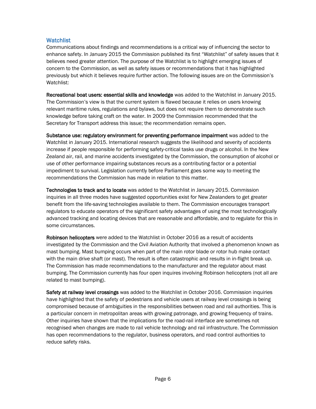#### <span id="page-8-0"></span>**Watchlist**

Communications about findings and recommendations is a critical way of influencing the sector to enhance safety. In January 2015 the Commission published its first "Watchlist" of safety issues that it believes need greater attention. The purpose of the Watchlist is to highlight emerging issues of concern to the Commission, as well as safety issues or recommendations that it has highlighted previously but which it believes require further action. The following issues are on the Commission's Watchlist:

Recreational boat users: essential skills and knowledge was added to the Watchlist in January 2015. The Commission's view is that the current system is flawed because it relies on users knowing relevant maritime rules, regulations and bylaws, but does not require them to demonstrate such knowledge before taking craft on the water. In 2009 the Commission recommended that the Secretary for Transport address this issue; the recommendation remains open.

Substance use: regulatory environment for preventing performance impairment was added to the Watchlist in January 2015. International research suggests the likelihood and severity of accidents increase if people responsible for performing safety-critical tasks use drugs or alcohol. In the New Zealand air, rail, and marine accidents investigated by the Commission, the consumption of alcohol or use of other performance impairing substances recurs as a contributing factor or a potential impediment to survival. Legislation currently before Parliament goes some way to meeting the recommendations the Commission has made in relation to this matter.

Technologies to track and to locate was added to the Watchlist in January 2015. Commission inquiries in all three modes have suggested opportunities exist for New Zealanders to get greater benefit from the life-saving technologies available to them. The Commission encourages transport regulators to educate operators of the significant safety advantages of using the most technologically advanced tracking and locating devices that are reasonable and affordable, and to regulate for this in some circumstances.

Robinson helicopters were added to the Watchlist in October 2016 as a result of accidents investigated by the Commission and the Civil Aviation Authority that involved a phenomenon known as mast bumping. Mast bumping occurs when part of the main rotor blade or rotor hub make contact with the main drive shaft (or mast). The result is often catastrophic and results in in-flight break up. The Commission has made recommendations to the manufacturer and the regulator about mast bumping. The Commission currently has four open inquires involving Robinson helicopters (not all are related to mast bumping).

Safety at railway level crossings was added to the Watchlist in October 2016. Commission inquiries have highlighted that the safety of pedestrians and vehicle users at railway level crossings is being compromised because of ambiguities in the responsibilities between road and rail authorities. This is a particular concern in metropolitan areas with growing patronage, and growing frequency of trains. Other inquiries have shown that the implications for the road-rail interface are sometimes not recognised when changes are made to rail vehicle technology and rail infrastructure. The Commission has open recommendations to the regulator, business operators, and road control authorities to reduce safety risks.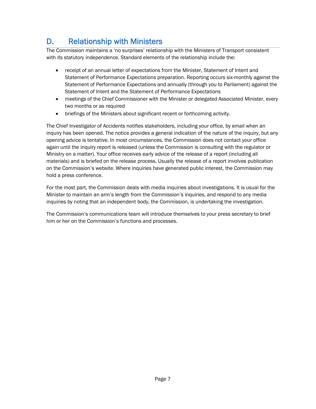### <span id="page-9-0"></span>D. Relationship with Ministers

The Commission maintains a 'no surprises' relationship with the Ministers of Transport consistent with its statutory independence. Standard elements of the relationship include the:

- receipt of an annual letter of expectations from the Minister, Statement of Intent and Statement of Performance Expectations preparation. Reporting occurs six-monthly against the Statement of Performance Expectations and annually (through you to Parliament) against the Statement of Intent and the Statement of Performance Expectations
- meetings of the Chief Commissioner with the Minister or delegated Associated Minister, every two months or as required
- briefings of the Ministers about significant recent or forthcoming activity.

The Chief Investigator of Accidents notifies stakeholders, including your office, by email when an inquiry has been opened. The notice provides a general indication of the nature of the inquiry, but any opening advice is tentative. In most circumstances, the Commission does not contact your office again until the inquiry report is released (unless the Commission is consulting with the regulator or Ministry on a matter). Your office receives early advice of the release of a report (including all materials) and is briefed on the release process. Usually the release of a report involves publication on the Commission's website. Where inquiries have generated public interest, the Commission may hold a press conference.

For the most part, the Commission deals with media inquiries about investigations. It is usual for the Minister to maintain an arm's length from the Commission's inquiries, and respond to any media inquiries by noting that an independent body, the Commission, is undertaking the investigation.

The Commission's communications team will introduce themselves to your press secretary to brief him or her on the Commission's functions and processes.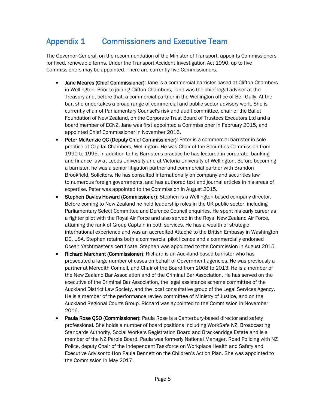### <span id="page-10-0"></span>Appendix 1 Commissioners and Executive Team

The Governor-General, on the recommendation of the Minister of Transport, appoints Commissioners for fixed, renewable terms. Under the Transport Accident Investigation Act 1990, up to five Commissioners may be appointed. There are currently five Commissioners.

- Jane Meares (Chief Commissioner): Jane is a commercial barrister based at Clifton Chambers in Wellington. Prior to joining Clifton Chambers, Jane was the chief legal adviser at the Treasury and, before that, a commercial partner in the Wellington office of Bell Gully. At the bar, she undertakes a broad range of commercial and public sector advisory work. She is currently chair of Parliamentary Counsel's risk and audit committee, chair of the Ballet Foundation of New Zealand, on the Corporate Trust Board of Trustees Executors Ltd and a board member of ECNZ. Jane was first appointed a Commissioner in February 2015, and appointed Chief Commissioner in November 2016.
- Peter McKenzie QC (Deputy Chief Commissioner): Peter is a commercial barrister in sole practice at Capital Chambers, Wellington. He was Chair of the Securities Commission from 1990 to 1995. In addition to his Barrister's practice he has lectured in corporate, banking and finance law at Leeds University and at Victoria University of Wellington. Before becoming a barrister, he was a senior litigation partner and commercial partner with Brandon Brookfield, Solicitors. He has consulted internationally on company and securities law to numerous foreign governments, and has authored text and journal articles in his areas of expertise. Peter was appointed to the Commission in August 2015.
- Stephen Davies Howard (Commissioner): Stephen is a Wellington-based company director. Before coming to New Zealand he held leadership roles in the UK public sector, including Parliamentary Select Committee and Defence Council enquiries. He spent his early career as a fighter pilot with the Royal Air Force and also served in the Royal New Zealand Air Force, attaining the rank of Group Captain in both services. He has a wealth of strategic international experience and was an accredited Attaché to the British Embassy in Washington DC, USA. Stephen retains both a commercial pilot licence and a commercially endorsed Ocean Yachtmaster's certificate. Stephen was appointed to the Commission in August 2015.
- Richard Marchant (Commissioner): Richard is an Auckland-based barrister who has prosecuted a large number of cases on behalf of Government agencies. He was previously a partner at Meredith Connell, and Chair of the Board from 2008 to 2013. He is a member of the New Zealand Bar Association and of the Criminal Bar Association. He has served on the executive of the Criminal Bar Association, the legal assistance scheme committee of the Auckland District Law Society, and the local consultative group of the Legal Services Agency. He is a member of the performance review committee of Ministry of Justice, and on the Auckland Regional Courts Group. Richard was appointed to the Commission in November 2016.
- Paula Rose QSO (Commissioner): Paula Rose is a Canterbury-based director and safety professional. She holds a number of board positions including WorkSafe NZ, Broadcasting Standards Authority, Social Workers Registration Board and Brackenridge Estate and is a member of the NZ Parole Board. Paula was formerly National Manager, Road Policing with NZ Police, deputy Chair of the Independent Taskforce on Workplace Health and Safety and Executive Advisor to Hon Paula Bennett on the Children's Action Plan. She was appointed to the Commission in May 2017.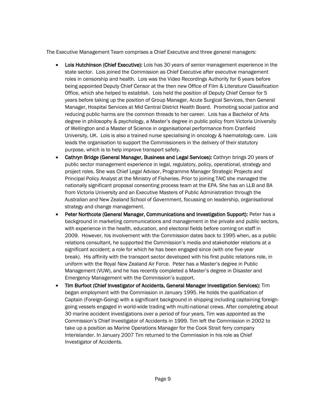The Executive Management Team comprises a Chief Executive and three general managers:

- Lois Hutchinson (Chief Executive): Lois has 30 years of senior management experience in the state sector. Lois joined the Commission as Chief Executive after executive management roles in censorship and health. Lois was the Video Recordings Authority for 6 years before being appointed Deputy Chief Censor at the then new Office of Film & Literature Classification Office, which she helped to establish. Lois held the position of Deputy Chief Censor for 5 years before taking up the position of Group Manager, Acute Surgical Services, then General Manager, Hospital Services at Mid Central District Health Board. Promoting social justice and reducing public harms are the common threads to her career. Lois has a Bachelor of Arts degree in philosophy & psychology, a Master's degree in public policy from Victoria University of Wellington and a Master of Science in organisational performance from Cranfield University, UK. Lois is also a trained nurse specialising in oncology & haematology care. Lois leads the organisation to support the Commissioners in the delivery of their statutory purpose, which is to help improve transport safety.
- Cathryn Bridge (General Manager, Business and Legal Services): Cathryn brings 20 years of public sector management experience in legal, regulatory, policy, operational, strategy and project roles. She was Chief Legal Advisor, Programme Manager Strategic Projects and Principal Policy Analyst at the Ministry of Fisheries. Prior to joining TAIC she managed the nationally significant proposal consenting process team at the EPA. She has an LLB and BA from Victoria University and an Executive Masters of Public Administration through the Australian and New Zealand School of Government, focussing on leadership, organisational strategy and change management.
- Peter Northcote (General Manager, Communications and Investigation Support): Peter has a background in marketing communications and management in the private and public sectors, with experience in the health, education, and electoral fields before coming on staff in 2009. However, his involvement with the Commission dates back to 1995 when, as a public relations consultant, he supported the Commission's media and stakeholder relations at a significant accident; a role for which he has been engaged since (with one five-year break). His affinity with the transport sector developed with his first public relations role, in uniform with the Royal New Zealand Air Force. Peter has a Master's degree in Public Management (VUW), and he has recently completed a Master's degree in Disaster and Emergency Management with the Commission's support.
- Tim Burfoot (Chief Investigator of Accidents, General Manager Investigation Services): Tim began employment with the Commission in January 1995. He holds the qualification of Captain (Foreign-Going) with a significant background in shipping including captaining foreigngoing vessels engaged in world-wide trading with multi-national crews. After completing about 30 marine accident investigations over a period of four years, Tim was appointed as the Commission's Chief Investigator of Accidents in 1999. Tim left the Commission in 2002 to take up a position as Marine Operations Manager for the Cook Strait ferry company Interislander. In January 2007 Tim returned to the Commission in his role as Chief Investigator of Accidents.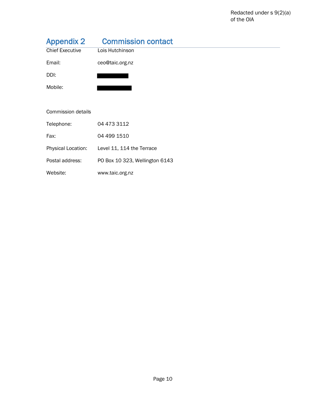<span id="page-12-0"></span>

| <b>Appendix 2</b>      | <b>Commission contact</b>      |
|------------------------|--------------------------------|
| <b>Chief Executive</b> | Lois Hutchinson                |
| Email:                 | ceo@taic.org.nz                |
| DDI:                   |                                |
| Mobile:                |                                |
|                        |                                |
| Commission details     |                                |
| Telephone:             | 04 473 3112                    |
| Fax:                   | 04 499 1510                    |
| Physical Location:     | Level 11, 114 the Terrace      |
| Postal address:        | PO Box 10 323, Wellington 6143 |
| Website:               | www.taic.org.nz                |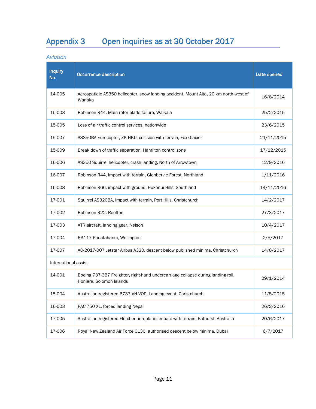## <span id="page-13-0"></span>Appendix 3 Open inquiries as at 30 October 2017

*Aviation* 

| <b>Inquiry</b><br>No. | <b>Occurrence description</b>                                                                                | Date opened |  |  |  |  |
|-----------------------|--------------------------------------------------------------------------------------------------------------|-------------|--|--|--|--|
| 14-005                | Aerospatiale AS350 helicopter, snow landing accident, Mount Alta, 20 km north-west of<br>Wanaka              | 16/8/2014   |  |  |  |  |
| 15-003                | Robinson R44, Main rotor blade failure, Waikaia                                                              | 25/2/2015   |  |  |  |  |
| 15-005                | Loss of air traffic control services, nationwide                                                             | 23/6/2015   |  |  |  |  |
| 15-007                | AS350BA Eurocopter, ZK-HKU, collision with terrain, Fox Glacier                                              | 21/11/2015  |  |  |  |  |
| 15-009                | Break down of traffic separation, Hamilton control zone                                                      | 17/12/2015  |  |  |  |  |
| 16-006                | AS350 Squirrel helicopter, crash landing, North of Arrowtown                                                 | 12/9/2016   |  |  |  |  |
| 16-007                | Robinson R44, impact with terrain, Glenbervie Forest, Northland                                              | 1/11/2016   |  |  |  |  |
| 16-008                | Robinson R66, impact with ground, Hokonui Hills, Southland                                                   | 14/11/2016  |  |  |  |  |
| 17-001                | Squirrel AS320BA, impact with terrain, Port Hills, Christchurch                                              | 14/2/2017   |  |  |  |  |
| 17-002                | Robinson R22, Reefton                                                                                        | 27/3/2017   |  |  |  |  |
| 17-003                | ATR aircraft, landing gear, Nelson                                                                           | 10/4/2017   |  |  |  |  |
| 17-004                | BK117 Pauatahanui, Wellington                                                                                | 2/5/2017    |  |  |  |  |
| 17-007                | AO-2017-007 Jetstar Airbus A320, descent below published minima, Christchurch                                | 14/8/2017   |  |  |  |  |
| International assist  |                                                                                                              |             |  |  |  |  |
| 14-001                | Boeing 737-3B7 Freighter, right-hand undercarriage collapse during landing roll,<br>Honiara, Solomon Islands | 29/1/2014   |  |  |  |  |
| 15-004                | Australian-registered B737 VH-VOP, Landing event, Christchurch                                               | 11/5/2015   |  |  |  |  |
| 16-003                | PAC 750 XL, forced landing Nepal                                                                             | 26/2/2016   |  |  |  |  |
| 17-005                | Australian-registered Fletcher aeroplane, impact with terrain, Bathurst, Australia                           | 20/6/2017   |  |  |  |  |
| 17-006                | Royal New Zealand Air Force C130, authorised descent below minima, Dubai                                     | 6/7/2017    |  |  |  |  |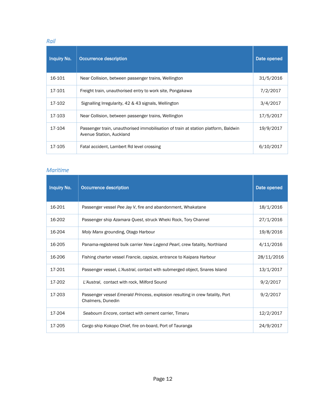#### *Rail*

| <b>Inquiry No.</b> | Occurrence description                                                                                         | Date opened |
|--------------------|----------------------------------------------------------------------------------------------------------------|-------------|
| 16-101             | Near Collision, between passenger trains, Wellington                                                           | 31/5/2016   |
| 17-101             | Freight train, unauthorised entry to work site, Pongakawa                                                      | 7/2/2017    |
| 17-102             | Signalling Irregularity, 42 & 43 signals, Wellington                                                           | 3/4/2017    |
| 17-103             | Near Collision, between passenger trains, Wellington                                                           | 17/5/2017   |
| 17-104             | Passenger train, unauthorised immobilisation of train at station platform, Baldwin<br>Avenue Station, Auckland | 19/9/2017   |
| 17-105             | Fatal accident, Lambert Rd level crossing                                                                      | 6/10/2017   |

#### *Maritime*

| <b>Inquiry No.</b> | Occurrence description                                                                             | Date opened |
|--------------------|----------------------------------------------------------------------------------------------------|-------------|
| 16-201             | Passenger vessel Pee Jay V, fire and abandonment, Whakatane                                        | 18/1/2016   |
| 16-202             | Passenger ship Azamara Quest, struck Wheki Rock, Tory Channel                                      | 27/1/2016   |
| 16-204             | Moly Manx grounding, Otago Harbour                                                                 | 19/8/2016   |
| 16-205             | Panama-registered bulk carrier New Legend Pearl, crew fatality, Northland                          | 4/11/2016   |
| 16-206             | Fishing charter vessel Francie, capsize, entrance to Kaipara Harbour                               | 28/11/2016  |
| 17-201             | Passenger vessel, L'Austral, contact with submerged object, Snares Island                          | 13/1/2017   |
| 17-202             | L'Austral, contact with rock, Milford Sound                                                        | 9/2/2017    |
| 17-203             | Passenger vessel Emerald Princess, explosion resulting in crew fatality, Port<br>Chalmers, Dunedin | 9/2/2017    |
| 17-204             | Seabourn Encore, contact with cement carrier, Timaru                                               | 12/2/2017   |
| 17-205             | Cargo ship Kokopo Chief, fire on-board, Port of Tauranga                                           | 24/9/2017   |